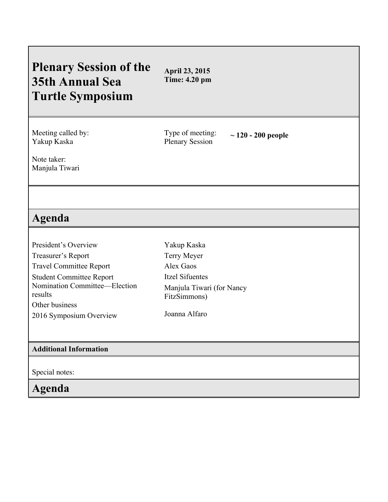## **Plenary Session of the 35th Annual Sea Turtle Symposium April 23, 2015 Time: 4.20 pm** Meeting called by: Yakup Kaska Type of meeting: Type of meeting:  $\sim 120 - 200$  people<br>Plenary Session Note taker: Manjula Tiwari **Agenda** President's Overview Treasurer's Report Travel Committee Report Student Committee Report Nomination Committee—Election results Other business 2016 Symposium Overview Yakup Kaska Terry Meyer Alex Gaos Itzel Sifuentes Manjula Tiwari (for Nancy FitzSimmons) Joanna Alfaro **Additional Information** Special notes: **Agenda**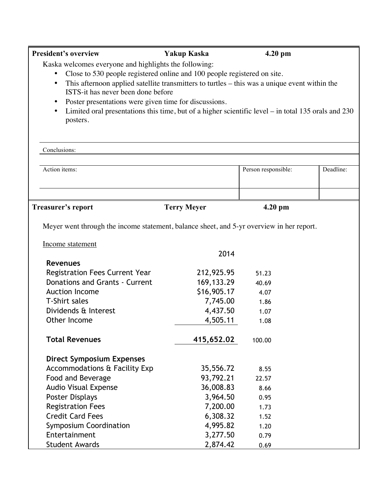| <b>President's overview</b>                                                                                      | <b>Yakup Kaska</b>     | 4.20 pm             |           |
|------------------------------------------------------------------------------------------------------------------|------------------------|---------------------|-----------|
| Kaska welcomes everyone and highlights the following:                                                            |                        |                     |           |
| Close to 530 people registered online and 100 people registered on site.<br>$\bullet$                            |                        |                     |           |
| This afternoon applied satellite transmitters to turtles – this was a unique event within the<br>$\bullet$       |                        |                     |           |
| ISTS-it has never been done before                                                                               |                        |                     |           |
| Poster presentations were given time for discussions.<br>$\bullet$                                               |                        |                     |           |
| Limited oral presentations this time, but of a higher scientific level – in total 135 orals and 230<br>$\bullet$ |                        |                     |           |
| posters.                                                                                                         |                        |                     |           |
|                                                                                                                  |                        |                     |           |
| Conclusions:                                                                                                     |                        |                     |           |
| Action items:                                                                                                    |                        | Person responsible: | Deadline: |
|                                                                                                                  |                        |                     |           |
|                                                                                                                  |                        |                     |           |
| <b>Treasurer's report</b>                                                                                        | <b>Terry Meyer</b>     | 4.20 pm             |           |
|                                                                                                                  |                        |                     |           |
| Meyer went through the income statement, balance sheet, and 5-yr overview in her report.<br>Income statement     |                        |                     |           |
|                                                                                                                  | 2014                   |                     |           |
| <b>Revenues</b>                                                                                                  |                        |                     |           |
|                                                                                                                  |                        |                     |           |
| <b>Registration Fees Current Year</b>                                                                            | 212,925.95             | 51.23               |           |
| Donations and Grants - Current                                                                                   | 169, 133. 29           | 40.69               |           |
| <b>Auction Income</b>                                                                                            | \$16,905.17            | 4.07                |           |
| <b>T-Shirt sales</b>                                                                                             | 7,745.00               | 1.86                |           |
| Dividends & Interest                                                                                             | 4,437.50               | 1.07                |           |
| Other Income                                                                                                     | 4,505.11               | 1.08                |           |
| <b>Total Revenues</b>                                                                                            | 415,652.02             | 100.00              |           |
|                                                                                                                  |                        |                     |           |
| <b>Direct Symposium Expenses</b>                                                                                 |                        |                     |           |
| Accommodations & Facility Exp                                                                                    | 35,556.72<br>93,792.21 | 8.55<br>22.57       |           |
| Food and Beverage                                                                                                | 36,008.83              | 8.66                |           |
| <b>Audio Visual Expense</b>                                                                                      |                        | 0.95                |           |
| <b>Poster Displays</b>                                                                                           | 3,964.50               |                     |           |
| <b>Registration Fees</b><br><b>Credit Card Fees</b>                                                              | 7,200.00               | 1.73<br>1.52        |           |
|                                                                                                                  | 6,308.32               |                     |           |
| <b>Symposium Coordination</b><br>Entertainment                                                                   | 4,995.82<br>3,277.50   | 1.20<br>0.79        |           |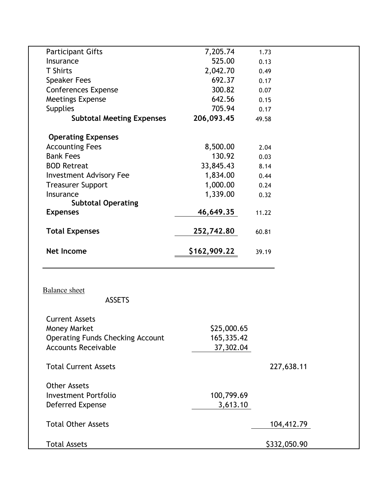| <b>Participant Gifts</b>                |              |            |  |
|-----------------------------------------|--------------|------------|--|
|                                         | 7,205.74     | 1.73       |  |
| Insurance                               | 525.00       | 0.13       |  |
| <b>T</b> Shirts                         | 2,042.70     | 0.49       |  |
| <b>Speaker Fees</b>                     | 692.37       | 0.17       |  |
| <b>Conferences Expense</b>              | 300.82       | 0.07       |  |
| Meetings Expense                        | 642.56       | 0.15       |  |
| <b>Supplies</b>                         | 705.94       | 0.17       |  |
| <b>Subtotal Meeting Expenses</b>        | 206,093.45   | 49.58      |  |
| <b>Operating Expenses</b>               |              |            |  |
| <b>Accounting Fees</b>                  | 8,500.00     | 2.04       |  |
| <b>Bank Fees</b>                        | 130.92       | 0.03       |  |
| <b>BOD Retreat</b>                      | 33,845.43    | 8.14       |  |
| <b>Investment Advisory Fee</b>          | 1,834.00     | 0.44       |  |
| <b>Treasurer Support</b>                | 1,000.00     | 0.24       |  |
| Insurance                               | 1,339.00     | 0.32       |  |
| <b>Subtotal Operating</b>               |              |            |  |
| <b>Expenses</b>                         | 46,649.35    | 11.22      |  |
| <b>Total Expenses</b>                   | 252,742.80   | 60.81      |  |
| <b>Net Income</b>                       | \$162,909.22 | 39.19      |  |
|                                         |              |            |  |
| <b>Balance</b> sheet<br><b>ASSETS</b>   |              |            |  |
| <b>Current Assets</b>                   |              |            |  |
| <b>Money Market</b>                     | \$25,000.65  |            |  |
| <b>Operating Funds Checking Account</b> | 165,335.42   |            |  |
| <b>Accounts Receivable</b>              | 37,302.04    |            |  |
| <b>Total Current Assets</b>             |              | 227,638.11 |  |
| <b>Other Assets</b>                     |              |            |  |
| <b>Investment Portfolio</b>             | 100,799.69   |            |  |
| Deferred Expense                        | 3,613.10     |            |  |
| <b>Total Other Assets</b>               |              | 104,412.79 |  |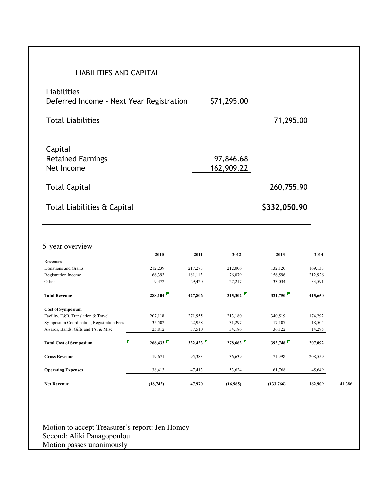| <b>LIABILITIES AND CAPITAL</b>                                                                                                                                                                                                                                                                                                                             |              |         |             |              |                    |  |  |
|------------------------------------------------------------------------------------------------------------------------------------------------------------------------------------------------------------------------------------------------------------------------------------------------------------------------------------------------------------|--------------|---------|-------------|--------------|--------------------|--|--|
|                                                                                                                                                                                                                                                                                                                                                            |              |         |             |              |                    |  |  |
| Liabilities                                                                                                                                                                                                                                                                                                                                                |              |         | \$71,295.00 |              |                    |  |  |
| Deferred Income - Next Year Registration                                                                                                                                                                                                                                                                                                                   |              |         |             |              |                    |  |  |
| <b>Total Liabilities</b>                                                                                                                                                                                                                                                                                                                                   |              |         |             | 71,295.00    |                    |  |  |
| Capital                                                                                                                                                                                                                                                                                                                                                    |              |         |             |              |                    |  |  |
| <b>Retained Earnings</b>                                                                                                                                                                                                                                                                                                                                   |              |         | 97,846.68   |              |                    |  |  |
| Net Income                                                                                                                                                                                                                                                                                                                                                 |              |         | 162,909.22  |              |                    |  |  |
| <b>Total Capital</b>                                                                                                                                                                                                                                                                                                                                       |              |         |             | 260,755.90   |                    |  |  |
| Total Liabilities & Capital                                                                                                                                                                                                                                                                                                                                |              |         |             |              |                    |  |  |
|                                                                                                                                                                                                                                                                                                                                                            |              |         |             | \$332,050.90 |                    |  |  |
|                                                                                                                                                                                                                                                                                                                                                            |              |         |             |              |                    |  |  |
|                                                                                                                                                                                                                                                                                                                                                            | 2010         | 2011    | 2012        | 2013         | 2014               |  |  |
|                                                                                                                                                                                                                                                                                                                                                            |              |         |             |              |                    |  |  |
|                                                                                                                                                                                                                                                                                                                                                            | 212,239      | 217,273 | 212,006     | 132,120      | 169,133            |  |  |
|                                                                                                                                                                                                                                                                                                                                                            | 66,393       | 181,113 | 76,079      | 156,596      | 212,926            |  |  |
|                                                                                                                                                                                                                                                                                                                                                            | 9,472        | 29,420  | 27,217      | 33,034       | 33,591             |  |  |
|                                                                                                                                                                                                                                                                                                                                                            | 288,104      | 427,806 | 315,302     | 321,750      | 415,650            |  |  |
|                                                                                                                                                                                                                                                                                                                                                            |              |         |             |              |                    |  |  |
|                                                                                                                                                                                                                                                                                                                                                            | 207,118      | 271,955 | 213,180     | 340,519      | 174,292            |  |  |
|                                                                                                                                                                                                                                                                                                                                                            | 35,502       | 22,958  | 31,297      | 17,107       | 18,504             |  |  |
|                                                                                                                                                                                                                                                                                                                                                            | 25,812       | 37,510  | 34,186      | 36,122       | 14,295             |  |  |
|                                                                                                                                                                                                                                                                                                                                                            | ₹<br>268,433 | 332,423 | 278,663     | 393,748      |                    |  |  |
|                                                                                                                                                                                                                                                                                                                                                            | 19,671       | 95,383  | 36,639      | $-71,998$    | 207,092<br>208,559 |  |  |
| 5-year overview<br>Revenues<br>Donations and Grants<br>Registration Income<br>Other<br><b>Total Revenue</b><br><b>Cost of Symposium</b><br>Facility, F&B, Translation & Travel<br>Symposium Coordination, Registration Fees<br>Awards, Bands, Gifts and T's, & Misc<br><b>Total Cost of Symposium</b><br><b>Gross Revenue</b><br><b>Operating Expenses</b> | 38,413       | 47,413  | 53,624      | 61,768       | 45,649             |  |  |

Motion to accept Treasurer's report: Jen Homcy Second: Aliki Panagopoulou Motion passes unanimously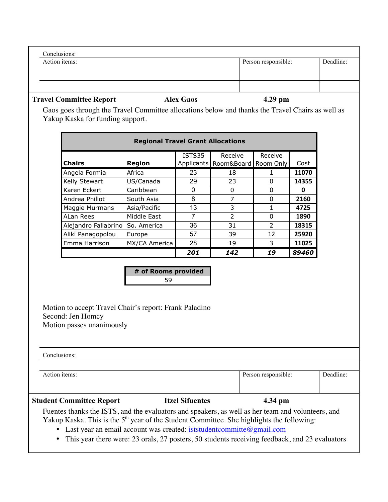| <b>Travel Committee Report</b> | <b>Alex Gaos</b> | $4.29$ pm           |           |
|--------------------------------|------------------|---------------------|-----------|
|                                |                  |                     |           |
|                                |                  |                     |           |
| Action items:                  |                  | Person responsible: | Deadline: |
| Conclusions:                   |                  |                     |           |

## Gaos goes through the Travel Committee allocations below and thanks the Travel Chairs as well as Yakup Kaska for funding support.

| <b>Regional Travel Grant Allocations</b> |                              |                   |               |           |       |  |  |  |
|------------------------------------------|------------------------------|-------------------|---------------|-----------|-------|--|--|--|
|                                          | ISTS35<br>Receive<br>Receive |                   |               |           |       |  |  |  |
| <b>Chairs</b>                            | <b>Region</b>                | <b>Applicants</b> | Room&Board    | Room Only | Cost  |  |  |  |
| Angela Formia                            | Africa                       | 23                | 18            | 1         | 11070 |  |  |  |
| Kelly Stewart                            | US/Canada                    | 29                | 23            | O         | 14355 |  |  |  |
| Karen Eckert                             | Caribbean                    | 0                 | 0             | 0         | 0     |  |  |  |
| Andrea Phillot                           | South Asia                   | 8                 | 7             | 0         | 2160  |  |  |  |
| Maggie Murmans                           | Asia/Pacific                 | 13                | 3             | 1         | 4725  |  |  |  |
| ALan Rees                                | Middle East                  | 7                 | $\mathcal{P}$ | 0         | 1890  |  |  |  |
| Alejandro Fallabrino                     | So. America                  | 36                | 31            | 2         | 18315 |  |  |  |
| Aliki Panagopolou                        | Europe                       | 57                | 39            | 12        | 25920 |  |  |  |
| Emma Harrison                            | MX/CA America                | 28                | 19            | 3         | 11025 |  |  |  |
|                                          |                              | 201               | 142           | 19        | 89460 |  |  |  |

|  |    | # of Rooms provided |  |
|--|----|---------------------|--|
|  | 59 |                     |  |

Motion to accept Travel Chair's report: Frank Paladino Second: Jen Homcy Motion passes unanimously

| Conclusions: |  |
|--------------|--|
|              |  |

| <b>Student Committee Report</b> | <b>Itzel Sifuentes</b> | 4.34 pm             |           |
|---------------------------------|------------------------|---------------------|-----------|
| Action items:                   |                        | Person responsible: | Deadline: |

Fuentes thanks the ISTS, and the evaluators and speakers, as well as her team and volunteers, and Yakup Kaska. This is the  $5<sup>th</sup>$  year of the Student Committee. She highlights the following:

• Last year an email account was created: iststudentcommitte@gmail.com

• This year there were: 23 orals, 27 posters, 50 students receiving feedback, and 23 evaluators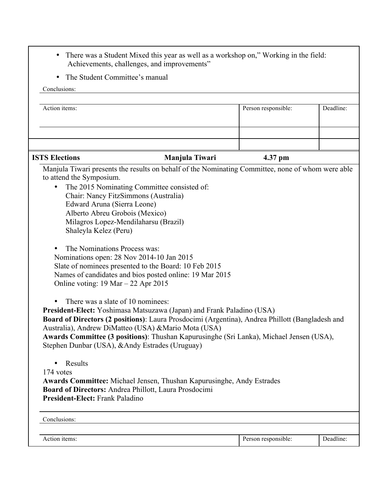- There was a Student Mixed this year as well as a workshop on," Working in the field: Achievements, challenges, and improvements"
- The Student Committee's manual

| Conclusions:                                                                                                                                                                                                                                                                                                                                                                                                        |                     |           |
|---------------------------------------------------------------------------------------------------------------------------------------------------------------------------------------------------------------------------------------------------------------------------------------------------------------------------------------------------------------------------------------------------------------------|---------------------|-----------|
| Action items:                                                                                                                                                                                                                                                                                                                                                                                                       | Person responsible: | Deadline: |
|                                                                                                                                                                                                                                                                                                                                                                                                                     |                     |           |
|                                                                                                                                                                                                                                                                                                                                                                                                                     |                     |           |
|                                                                                                                                                                                                                                                                                                                                                                                                                     |                     |           |
| <b>ISTS Elections</b><br>Manjula Tiwari                                                                                                                                                                                                                                                                                                                                                                             | 4.37 pm             |           |
| Manjula Tiwari presents the results on behalf of the Nominating Committee, none of whom were able<br>to attend the Symposium.                                                                                                                                                                                                                                                                                       |                     |           |
| The 2015 Nominating Committee consisted of:<br>$\bullet$                                                                                                                                                                                                                                                                                                                                                            |                     |           |
| Chair: Nancy FitzSimmons (Australia)                                                                                                                                                                                                                                                                                                                                                                                |                     |           |
| Edward Aruna (Sierra Leone)                                                                                                                                                                                                                                                                                                                                                                                         |                     |           |
| Alberto Abreu Grobois (Mexico)                                                                                                                                                                                                                                                                                                                                                                                      |                     |           |
| Milagros Lopez-Mendilaharsu (Brazil)                                                                                                                                                                                                                                                                                                                                                                                |                     |           |
| Shaleyla Kelez (Peru)                                                                                                                                                                                                                                                                                                                                                                                               |                     |           |
| The Nominations Process was:                                                                                                                                                                                                                                                                                                                                                                                        |                     |           |
| Nominations open: 28 Nov 2014-10 Jan 2015                                                                                                                                                                                                                                                                                                                                                                           |                     |           |
| Slate of nominees presented to the Board: 10 Feb 2015                                                                                                                                                                                                                                                                                                                                                               |                     |           |
| Names of candidates and bios posted online: 19 Mar 2015                                                                                                                                                                                                                                                                                                                                                             |                     |           |
| Online voting: $19 \text{ Mar} - 22 \text{ Apr } 2015$                                                                                                                                                                                                                                                                                                                                                              |                     |           |
| There was a slate of 10 nominees:<br>President-Elect: Yoshimasa Matsuzawa (Japan) and Frank Paladino (USA)<br>Board of Directors (2 positions): Laura Prosdocimi (Argentina), Andrea Phillott (Bangladesh and<br>Australia), Andrew DiMatteo (USA) & Mario Mota (USA)<br>Awards Committee (3 positions): Thushan Kapurusinghe (Sri Lanka), Michael Jensen (USA),<br>Stephen Dunbar (USA), & Andy Estrades (Uruguay) |                     |           |
| Results                                                                                                                                                                                                                                                                                                                                                                                                             |                     |           |
| 174 votes                                                                                                                                                                                                                                                                                                                                                                                                           |                     |           |
| <b>Awards Committee:</b> Michael Jensen, Thushan Kapurusinghe, Andy Estrades                                                                                                                                                                                                                                                                                                                                        |                     |           |
| Board of Directors: Andrea Phillott, Laura Prosdocimi                                                                                                                                                                                                                                                                                                                                                               |                     |           |
| President-Elect: Frank Paladino                                                                                                                                                                                                                                                                                                                                                                                     |                     |           |
| Conclusions:                                                                                                                                                                                                                                                                                                                                                                                                        |                     |           |
|                                                                                                                                                                                                                                                                                                                                                                                                                     |                     |           |
| Action items:                                                                                                                                                                                                                                                                                                                                                                                                       | Person responsible: | Deadline: |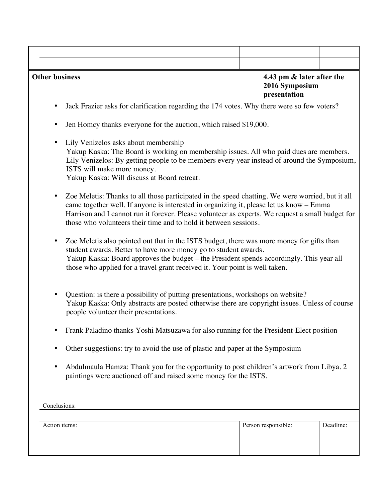| <b>Other business</b>                                                                                                                                                                                                                                                                                                                                                            | 4.43 pm & later after the<br>2016 Symposium<br>presentation                                                                                                                                                                                                                                                                             |           |  |  |
|----------------------------------------------------------------------------------------------------------------------------------------------------------------------------------------------------------------------------------------------------------------------------------------------------------------------------------------------------------------------------------|-----------------------------------------------------------------------------------------------------------------------------------------------------------------------------------------------------------------------------------------------------------------------------------------------------------------------------------------|-----------|--|--|
| Jack Frazier asks for clarification regarding the 174 votes. Why there were so few voters?<br>$\bullet$                                                                                                                                                                                                                                                                          |                                                                                                                                                                                                                                                                                                                                         |           |  |  |
| Jen Homey thanks everyone for the auction, which raised \$19,000.<br>$\bullet$                                                                                                                                                                                                                                                                                                   |                                                                                                                                                                                                                                                                                                                                         |           |  |  |
| Lily Venizelos asks about membership<br>$\bullet$<br>Yakup Kaska: The Board is working on membership issues. All who paid dues are members.<br>Lily Venizelos: By getting people to be members every year instead of around the Symposium,<br>ISTS will make more money.<br>Yakup Kaska: Will discuss at Board retreat.                                                          |                                                                                                                                                                                                                                                                                                                                         |           |  |  |
| Zoe Meletis: Thanks to all those participated in the speed chatting. We were worried, but it all<br>$\bullet$<br>came together well. If anyone is interested in organizing it, please let us know - Emma<br>Harrison and I cannot run it forever. Please volunteer as experts. We request a small budget for<br>those who volunteers their time and to hold it between sessions. |                                                                                                                                                                                                                                                                                                                                         |           |  |  |
| $\bullet$                                                                                                                                                                                                                                                                                                                                                                        | Zoe Meletis also pointed out that in the ISTS budget, there was more money for gifts than<br>student awards. Better to have more money go to student awards.<br>Yakup Kaska: Board approves the budget - the President spends accordingly. This year all<br>those who applied for a travel grant received it. Your point is well taken. |           |  |  |
| Question: is there a possibility of putting presentations, workshops on website?<br>Yakup Kaska: Only abstracts are posted otherwise there are copyright issues. Unless of course<br>people volunteer their presentations.                                                                                                                                                       |                                                                                                                                                                                                                                                                                                                                         |           |  |  |
| Frank Paladino thanks Yoshi Matsuzawa for also running for the President-Elect position<br>$\bullet$                                                                                                                                                                                                                                                                             |                                                                                                                                                                                                                                                                                                                                         |           |  |  |
| Other suggestions: try to avoid the use of plastic and paper at the Symposium<br>$\bullet$                                                                                                                                                                                                                                                                                       |                                                                                                                                                                                                                                                                                                                                         |           |  |  |
| Abdulmaula Hamza: Thank you for the opportunity to post children's artwork from Libya. 2<br>$\bullet$<br>paintings were auctioned off and raised some money for the ISTS.                                                                                                                                                                                                        |                                                                                                                                                                                                                                                                                                                                         |           |  |  |
| Conclusions:                                                                                                                                                                                                                                                                                                                                                                     |                                                                                                                                                                                                                                                                                                                                         |           |  |  |
| Action items:                                                                                                                                                                                                                                                                                                                                                                    | Person responsible:                                                                                                                                                                                                                                                                                                                     | Deadline: |  |  |